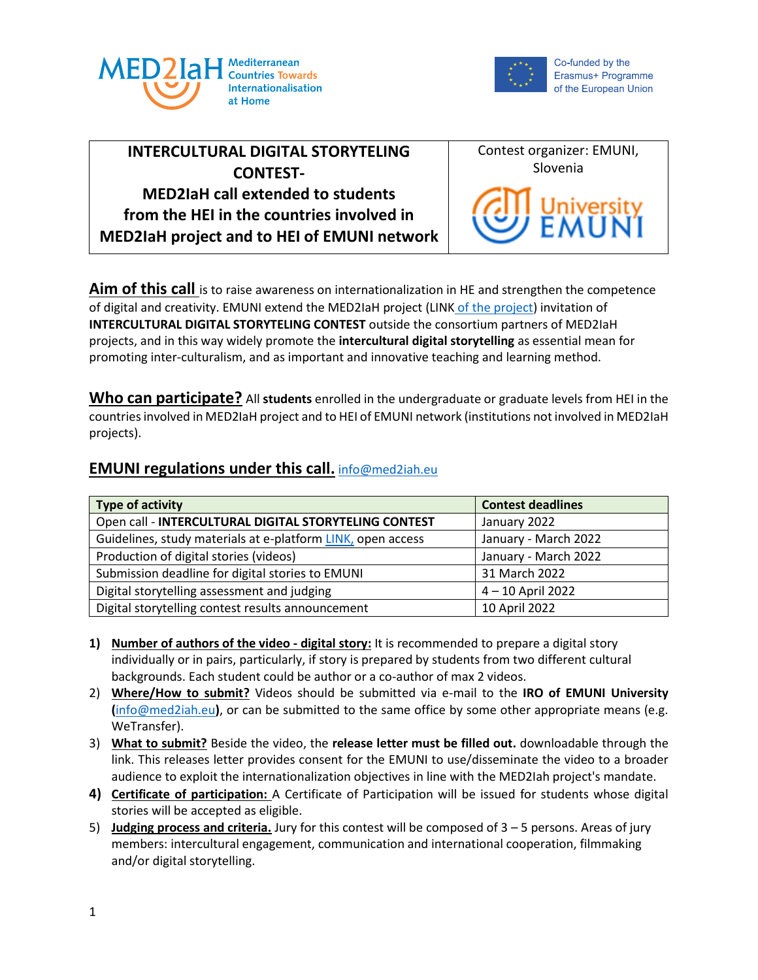



# **INTERCULTURAL DIGITAL STORYTELING CONTEST-MED2IaH call extended to students from the HEI in the countries involved in MED2IaH project and to HEI of EMUNI network**



**Aim of this call** is to raise awareness on internationalization in HE and strengthen the competence of digital and creativity. EMUNI extend the MED2IaH project (LINK [of the project\)](https://med2iah.eu/) invitation of **INTERCULTURAL DIGITAL STORYTELING CONTEST** outside the consortium partners of MED2IaH projects, and in this way widely promote the **intercultural digital storytelling** as essential mean for promoting inter-culturalism, and as important and innovative teaching and learning method.

**Who can participate?** All **students** enrolled in the undergraduate or graduate levels from HEI in the countries involved in MED2IaH project and to HEI of EMUNI network (institutions not involved in MED2IaH projects).

## **EMUNI regulations under this call.** [info@med2iah.eu](mailto:info@med2iah.eu)

| Type of activity                                            | <b>Contest deadlines</b> |
|-------------------------------------------------------------|--------------------------|
| Open call - INTERCULTURAL DIGITAL STORYTELING CONTEST       | January 2022             |
| Guidelines, study materials at e-platform LINK, open access | January - March 2022     |
| Production of digital stories (videos)                      | January - March 2022     |
| Submission deadline for digital stories to EMUNI            | 31 March 2022            |
| Digital storytelling assessment and judging                 | 4-10 April 2022          |
| Digital storytelling contest results announcement           | 10 April 2022            |

- **1) Number of authors of the video - digital story:** It is recommended to prepare a digital story individually or in pairs, particularly, if story is prepared by students from two different cultural backgrounds. Each student could be author or a co-author of max 2 videos.
- 2) **Where/How to submit?** Videos should be submitted via e-mail to the **IRO of EMUNI University (**[info@med2iah.eu](mailto:info@med2iah.eu)**)**, or can be submitted to the same office by some other appropriate means (e.g. WeTransfer).
- 3) **What to submit?** Beside the video, the **release letter must be filled out.** downloadable through the link. This releases letter provides consent for the EMUNI to use/disseminate the video to a broader audience to exploit the internationalization objectives in line with the MED2Iah project's mandate.
- **4) Certificate of participation:** A Certificate of Participation will be issued for students whose digital stories will be accepted as eligible.
- 5) **Judging process and criteria.** Jury for this contest will be composed of 3 5 persons. Areas of jury members: intercultural engagement, communication and international cooperation, filmmaking and/or digital storytelling.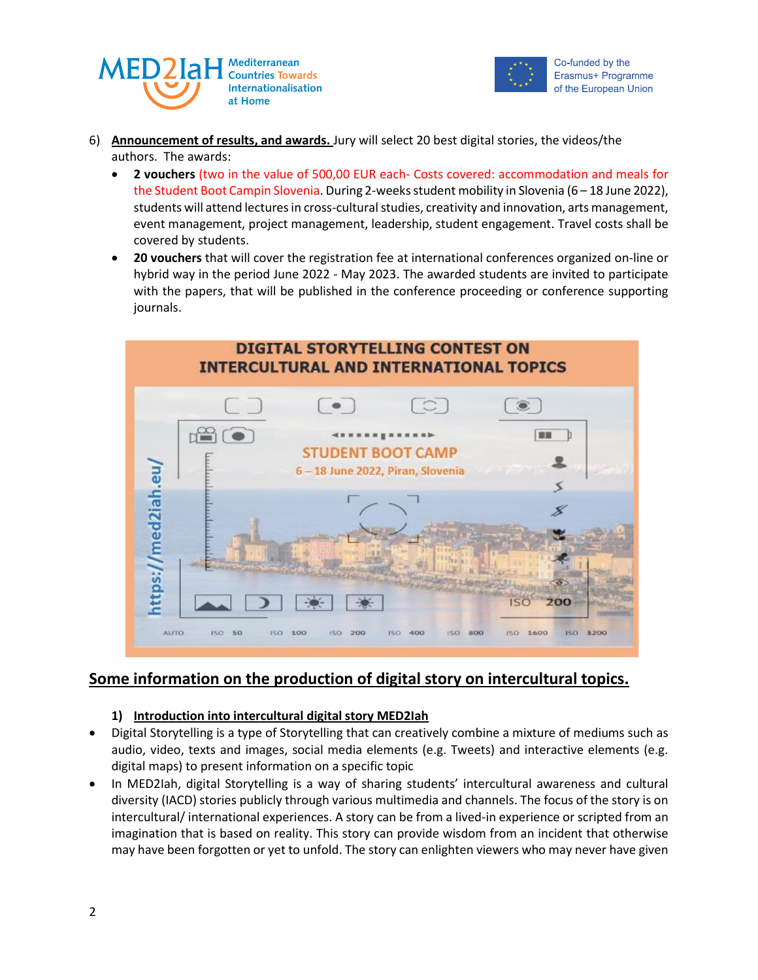



- 6) **Announcement of results, and awards.** Jury will select 20 best digital stories, the videos/the authors. The awards:
	- **2 vouchers** (two in the value of 500,00 EUR each- Costs covered: accommodation and meals for the Student Boot Campin Slovenia. During 2-weeks student mobility in Slovenia (6 - 18 June 2022), students will attend lectures in cross-cultural studies, creativity and innovation, arts management, event management, project management, leadership, student engagement. Travel costs shall be covered by students.
	- **20 vouchers** that will cover the registration fee at international conferences organized on-line or hybrid way in the period June 2022 - May 2023. The awarded students are invited to participate with the papers, that will be published in the conference proceeding or conference supporting journals.



# **Some information on the production of digital story on intercultural topics.**

#### **1) Introduction into intercultural digital story MED2Iah**

- Digital Storytelling is a type of Storytelling that can creatively combine a mixture of mediums such as audio, video, texts and images, social media elements (e.g. Tweets) and interactive elements (e.g. digital maps) to present information on a specific topic
- In MED2Iah, digital Storytelling is a way of sharing students' intercultural awareness and cultural diversity (IACD) stories publicly through various multimedia and channels. The focus of the story is on intercultural/ international experiences. A story can be from a lived-in experience or scripted from an imagination that is based on reality. This story can provide wisdom from an incident that otherwise may have been forgotten or yet to unfold. The story can enlighten viewers who may never have given